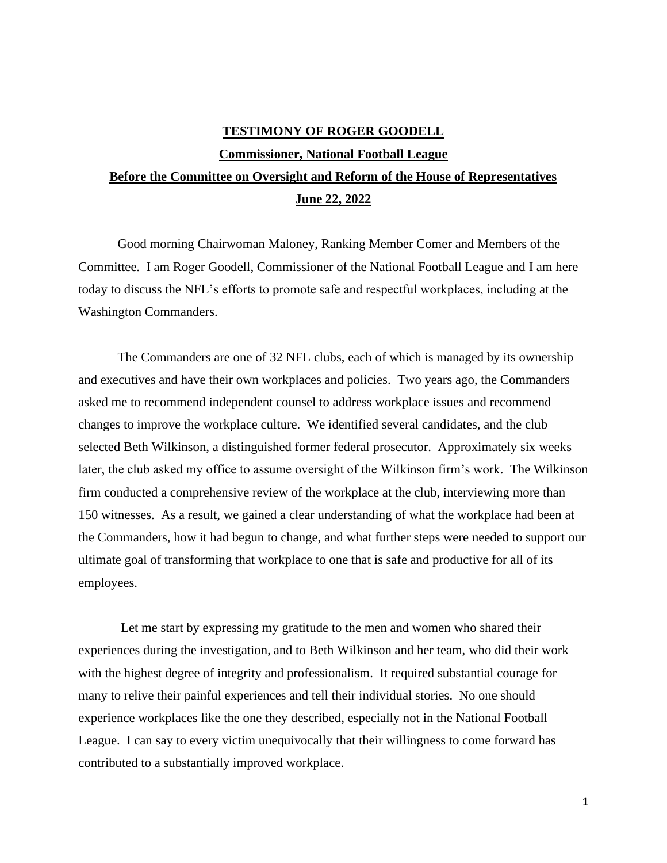## **TESTIMONY OF ROGER GOODELL Commissioner, National Football League Before the Committee on Oversight and Reform of the House of Representatives June 22, 2022**

Good morning Chairwoman Maloney, Ranking Member Comer and Members of the Committee. I am Roger Goodell, Commissioner of the National Football League and I am here today to discuss the NFL's efforts to promote safe and respectful workplaces, including at the Washington Commanders.

The Commanders are one of 32 NFL clubs, each of which is managed by its ownership and executives and have their own workplaces and policies. Two years ago, the Commanders asked me to recommend independent counsel to address workplace issues and recommend changes to improve the workplace culture. We identified several candidates, and the club selected Beth Wilkinson, a distinguished former federal prosecutor. Approximately six weeks later, the club asked my office to assume oversight of the Wilkinson firm's work. The Wilkinson firm conducted a comprehensive review of the workplace at the club, interviewing more than 150 witnesses. As a result, we gained a clear understanding of what the workplace had been at the Commanders, how it had begun to change, and what further steps were needed to support our ultimate goal of transforming that workplace to one that is safe and productive for all of its employees.

Let me start by expressing my gratitude to the men and women who shared their experiences during the investigation, and to Beth Wilkinson and her team, who did their work with the highest degree of integrity and professionalism. It required substantial courage for many to relive their painful experiences and tell their individual stories. No one should experience workplaces like the one they described, especially not in the National Football League. I can say to every victim unequivocally that their willingness to come forward has contributed to a substantially improved workplace.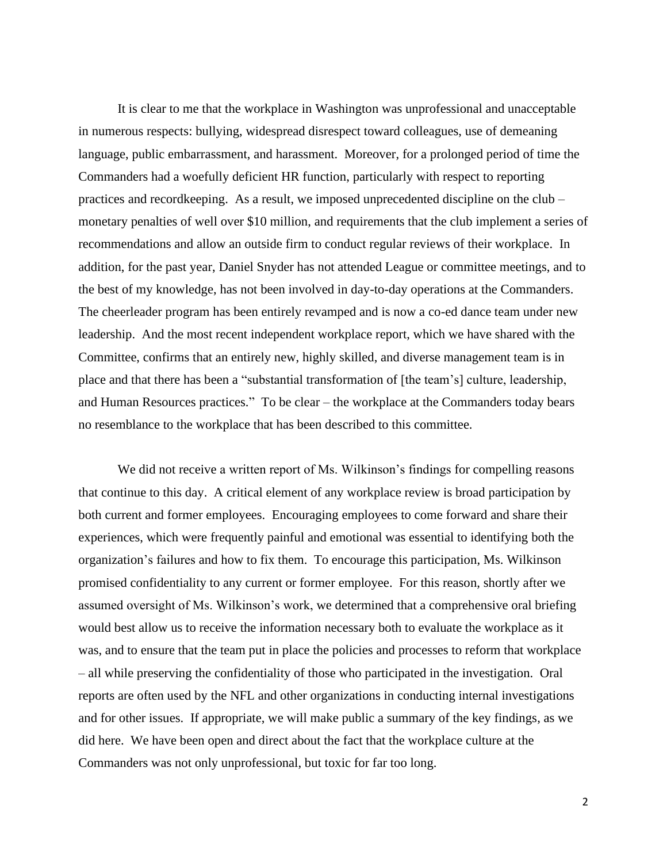It is clear to me that the workplace in Washington was unprofessional and unacceptable in numerous respects: bullying, widespread disrespect toward colleagues, use of demeaning language, public embarrassment, and harassment. Moreover, for a prolonged period of time the Commanders had a woefully deficient HR function, particularly with respect to reporting practices and recordkeeping. As a result, we imposed unprecedented discipline on the club – monetary penalties of well over \$10 million, and requirements that the club implement a series of recommendations and allow an outside firm to conduct regular reviews of their workplace. In addition, for the past year, Daniel Snyder has not attended League or committee meetings, and to the best of my knowledge, has not been involved in day-to-day operations at the Commanders. The cheerleader program has been entirely revamped and is now a co-ed dance team under new leadership. And the most recent independent workplace report, which we have shared with the Committee, confirms that an entirely new, highly skilled, and diverse management team is in place and that there has been a "substantial transformation of [the team's] culture, leadership, and Human Resources practices." To be clear – the workplace at the Commanders today bears no resemblance to the workplace that has been described to this committee.

We did not receive a written report of Ms. Wilkinson's findings for compelling reasons that continue to this day. A critical element of any workplace review is broad participation by both current and former employees. Encouraging employees to come forward and share their experiences, which were frequently painful and emotional was essential to identifying both the organization's failures and how to fix them. To encourage this participation, Ms. Wilkinson promised confidentiality to any current or former employee. For this reason, shortly after we assumed oversight of Ms. Wilkinson's work, we determined that a comprehensive oral briefing would best allow us to receive the information necessary both to evaluate the workplace as it was, and to ensure that the team put in place the policies and processes to reform that workplace – all while preserving the confidentiality of those who participated in the investigation. Oral reports are often used by the NFL and other organizations in conducting internal investigations and for other issues. If appropriate, we will make public a summary of the key findings, as we did here. We have been open and direct about the fact that the workplace culture at the Commanders was not only unprofessional, but toxic for far too long.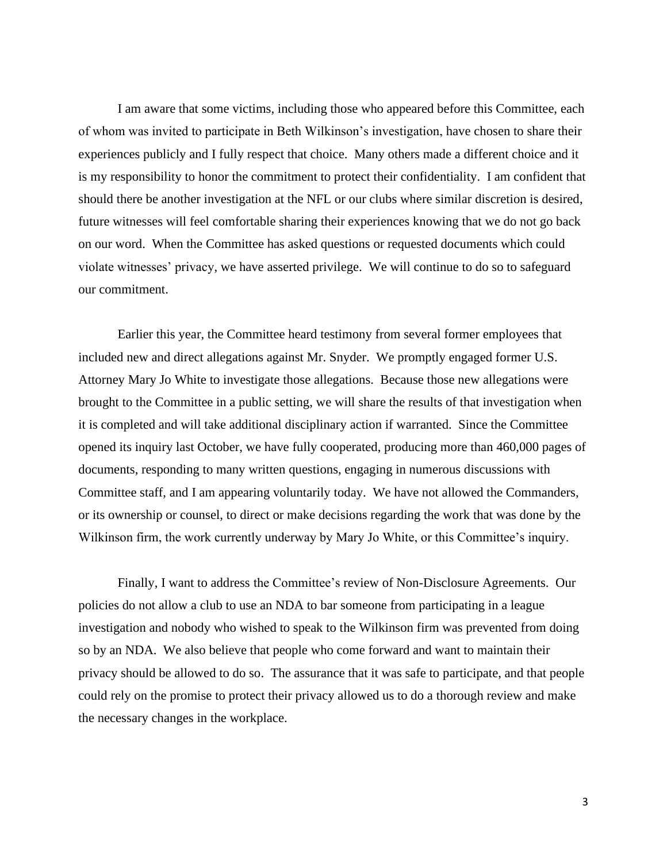I am aware that some victims, including those who appeared before this Committee, each of whom was invited to participate in Beth Wilkinson's investigation, have chosen to share their experiences publicly and I fully respect that choice. Many others made a different choice and it is my responsibility to honor the commitment to protect their confidentiality. I am confident that should there be another investigation at the NFL or our clubs where similar discretion is desired, future witnesses will feel comfortable sharing their experiences knowing that we do not go back on our word. When the Committee has asked questions or requested documents which could violate witnesses' privacy, we have asserted privilege. We will continue to do so to safeguard our commitment.

Earlier this year, the Committee heard testimony from several former employees that included new and direct allegations against Mr. Snyder. We promptly engaged former U.S. Attorney Mary Jo White to investigate those allegations. Because those new allegations were brought to the Committee in a public setting, we will share the results of that investigation when it is completed and will take additional disciplinary action if warranted. Since the Committee opened its inquiry last October, we have fully cooperated, producing more than 460,000 pages of documents, responding to many written questions, engaging in numerous discussions with Committee staff, and I am appearing voluntarily today. We have not allowed the Commanders, or its ownership or counsel, to direct or make decisions regarding the work that was done by the Wilkinson firm, the work currently underway by Mary Jo White, or this Committee's inquiry.

Finally, I want to address the Committee's review of Non-Disclosure Agreements. Our policies do not allow a club to use an NDA to bar someone from participating in a league investigation and nobody who wished to speak to the Wilkinson firm was prevented from doing so by an NDA. We also believe that people who come forward and want to maintain their privacy should be allowed to do so. The assurance that it was safe to participate, and that people could rely on the promise to protect their privacy allowed us to do a thorough review and make the necessary changes in the workplace.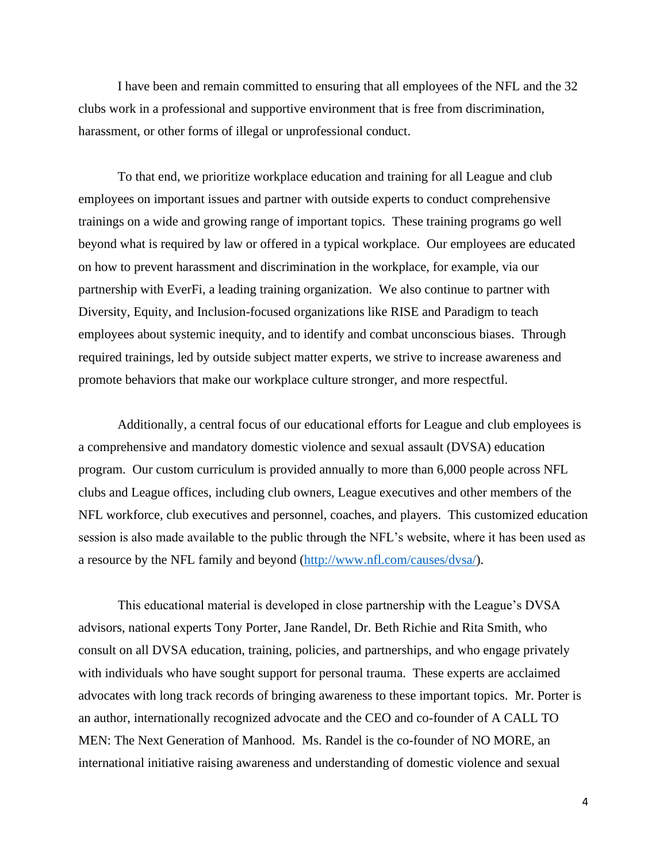I have been and remain committed to ensuring that all employees of the NFL and the 32 clubs work in a professional and supportive environment that is free from discrimination, harassment, or other forms of illegal or unprofessional conduct.

To that end, we prioritize workplace education and training for all League and club employees on important issues and partner with outside experts to conduct comprehensive trainings on a wide and growing range of important topics. These training programs go well beyond what is required by law or offered in a typical workplace. Our employees are educated on how to prevent harassment and discrimination in the workplace, for example, via our partnership with EverFi, a leading training organization. We also continue to partner with Diversity, Equity, and Inclusion-focused organizations like RISE and Paradigm to teach employees about systemic inequity, and to identify and combat unconscious biases. Through required trainings, led by outside subject matter experts, we strive to increase awareness and promote behaviors that make our workplace culture stronger, and more respectful.

Additionally, a central focus of our educational efforts for League and club employees is a comprehensive and mandatory domestic violence and sexual assault (DVSA) education program. Our custom curriculum is provided annually to more than 6,000 people across NFL clubs and League offices, including club owners, League executives and other members of the NFL workforce, club executives and personnel, coaches, and players. This customized education session is also made available to the public through the NFL's website, where it has been used as a resource by the NFL family and beyond [\(http://www.nfl.com/causes/dvsa/\)](http://www.nfl.com/causes/dvsa/).

This educational material is developed in close partnership with the League's DVSA advisors, national experts Tony Porter, Jane Randel, Dr. Beth Richie and Rita Smith, who consult on all DVSA education, training, policies, and partnerships, and who engage privately with individuals who have sought support for personal trauma. These experts are acclaimed advocates with long track records of bringing awareness to these important topics. Mr. Porter is an author, internationally recognized advocate and the CEO and co-founder of A CALL TO MEN: The Next Generation of Manhood. Ms. Randel is the co-founder of NO MORE, an international initiative raising awareness and understanding of domestic violence and sexual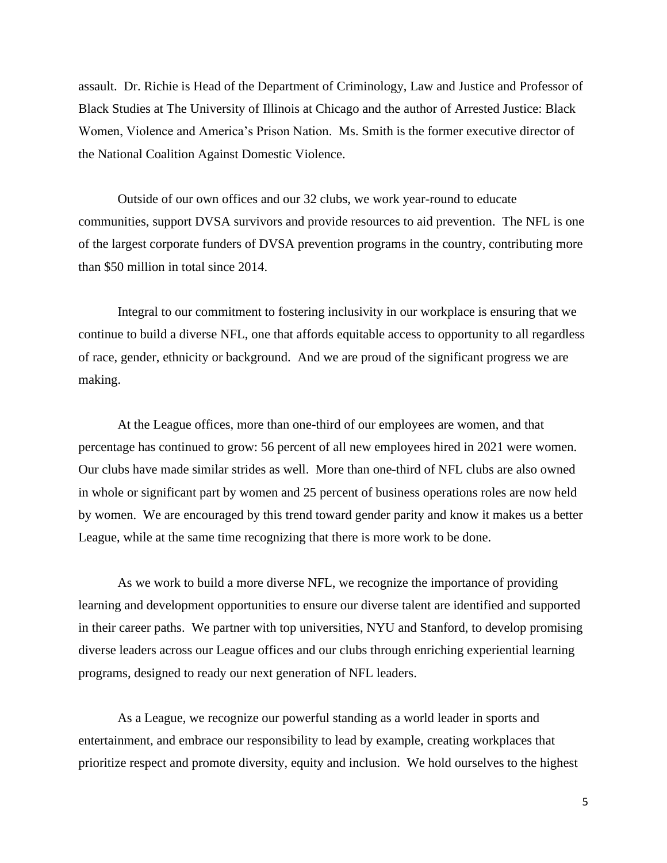assault. Dr. Richie is Head of the Department of Criminology, Law and Justice and Professor of Black Studies at The University of Illinois at Chicago and the author of Arrested Justice: Black Women, Violence and America's Prison Nation. Ms. Smith is the former executive director of the National Coalition Against Domestic Violence.

Outside of our own offices and our 32 clubs, we work year-round to educate communities, support DVSA survivors and provide resources to aid prevention. The NFL is one of the largest corporate funders of DVSA prevention programs in the country, contributing more than \$50 million in total since 2014.

Integral to our commitment to fostering inclusivity in our workplace is ensuring that we continue to build a diverse NFL, one that affords equitable access to opportunity to all regardless of race, gender, ethnicity or background. And we are proud of the significant progress we are making.

At the League offices, more than one-third of our employees are women, and that percentage has continued to grow: 56 percent of all new employees hired in 2021 were women. Our clubs have made similar strides as well. More than one-third of NFL clubs are also owned in whole or significant part by women and 25 percent of business operations roles are now held by women. We are encouraged by this trend toward gender parity and know it makes us a better League, while at the same time recognizing that there is more work to be done.

As we work to build a more diverse NFL, we recognize the importance of providing learning and development opportunities to ensure our diverse talent are identified and supported in their career paths. We partner with top universities, NYU and Stanford, to develop promising diverse leaders across our League offices and our clubs through enriching experiential learning programs, designed to ready our next generation of NFL leaders.

As a League, we recognize our powerful standing as a world leader in sports and entertainment, and embrace our responsibility to lead by example, creating workplaces that prioritize respect and promote diversity, equity and inclusion. We hold ourselves to the highest